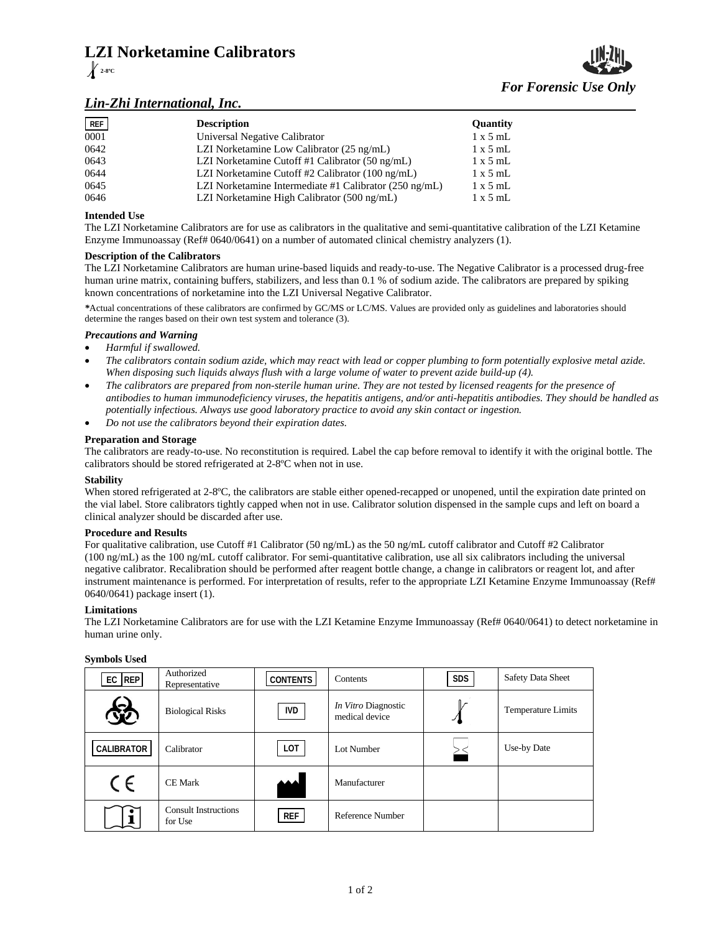# **LZI Norketamine Calibrators 2-8ºC**

# *Lin-Zhi International, Inc.*

| REF  | <b>Description</b>                                               | Quantity        |
|------|------------------------------------------------------------------|-----------------|
| 0001 | Universal Negative Calibrator                                    | $1 \times 5$ mL |
| 0642 | LZI Norketamine Low Calibrator (25 ng/mL)                        | $1 \times 5$ mL |
| 0643 | LZI Norketamine Cutoff #1 Calibrator (50 ng/mL)                  | $1 \times 5$ mL |
| 0644 | LZI Norketamine Cutoff #2 Calibrator (100 ng/mL)                 | $1 \times 5$ mL |
| 0645 | LZI Norketamine Intermediate #1 Calibrator $(250 \text{ ng/mL})$ | $1 \times 5$ mL |
| 0646 | LZI Norketamine High Calibrator (500 ng/mL)                      | $1 \times 5$ mL |

# **Intended Use**

The LZI Norketamine Calibrators are for use as calibrators in the qualitative and semi-quantitative calibration of the LZI Ketamine Enzyme Immunoassay (Ref# 0640/0641) on a number of automated clinical chemistry analyzers (1).

## **Description of the Calibrators**

The LZI Norketamine Calibrators are human urine-based liquids and ready-to-use. The Negative Calibrator is a processed drug-free human urine matrix, containing buffers, stabilizers, and less than 0.1 % of sodium azide. The calibrators are prepared by spiking known concentrations of norketamine into the LZI Universal Negative Calibrator.

*\**Actual concentrations of these calibrators are confirmed by GC/MS or LC/MS. Values are provided only as guidelines and laboratories should determine the ranges based on their own test system and tolerance (3).

# *Precautions and Warning*

- *Harmful if swallowed.*
- *The calibrators contain sodium azide, which may react with lead or copper plumbing to form potentially explosive metal azide. When disposing such liquids always flush with a large volume of water to prevent azide build-up (4).*
- *The calibrators are prepared from non-sterile human urine. They are not tested by licensed reagents for the presence of antibodies to human immunodeficiency viruses, the hepatitis antigens, and/or anti-hepatitis antibodies. They should be handled as potentially infectious. Always use good laboratory practice to avoid any skin contact or ingestion.*
- *Do not use the calibrators beyond their expiration dates.*

## **Preparation and Storage**

The calibrators are ready-to-use. No reconstitution is required. Label the cap before removal to identify it with the original bottle. The calibrators should be stored refrigerated at 2-8ºC when not in use.

#### **Stability**

When stored refrigerated at 2-8°C, the calibrators are stable either opened-recapped or unopened, until the expiration date printed on the vial label. Store calibrators tightly capped when not in use. Calibrator solution dispensed in the sample cups and left on board a clinical analyzer should be discarded after use.

#### **Procedure and Results**

For qualitative calibration, use Cutoff #1 Calibrator (50 ng/mL) as the 50 ng/mL cutoff calibrator and Cutoff #2 Calibrator (100 ng/mL) as the 100 ng/mL cutoff calibrator. For semi-quantitative calibration, use all six calibrators including the universal negative calibrator. Recalibration should be performed after reagent bottle change, a change in calibrators or reagent lot, and after instrument maintenance is performed. For interpretation of results, refer to the appropriate LZI Ketamine Enzyme Immunoassay (Ref# 0640/0641) package insert (1).

# **Limitations**

The LZI Norketamine Calibrators are for use with the LZI Ketamine Enzyme Immunoassay (Ref# 0640/0641) to detect norketamine in human urine only.

| $EC$ REP   | Authorized<br>Representative           | <b>CONTENTS</b> | Contents                              | <b>SDS</b> | <b>Safety Data Sheet</b> |
|------------|----------------------------------------|-----------------|---------------------------------------|------------|--------------------------|
|            | <b>Biological Risks</b>                | <b>IVD</b>      | In Vitro Diagnostic<br>medical device |            | Temperature Limits       |
| CALIBRATOR | Calibrator                             | LOT             | Lot Number                            |            | Use-by Date              |
| CE         | <b>CE Mark</b>                         |                 | Manufacturer                          |            |                          |
|            | <b>Consult Instructions</b><br>for Use | <b>REF</b>      | Reference Number                      |            |                          |

#### **Symbols Used**